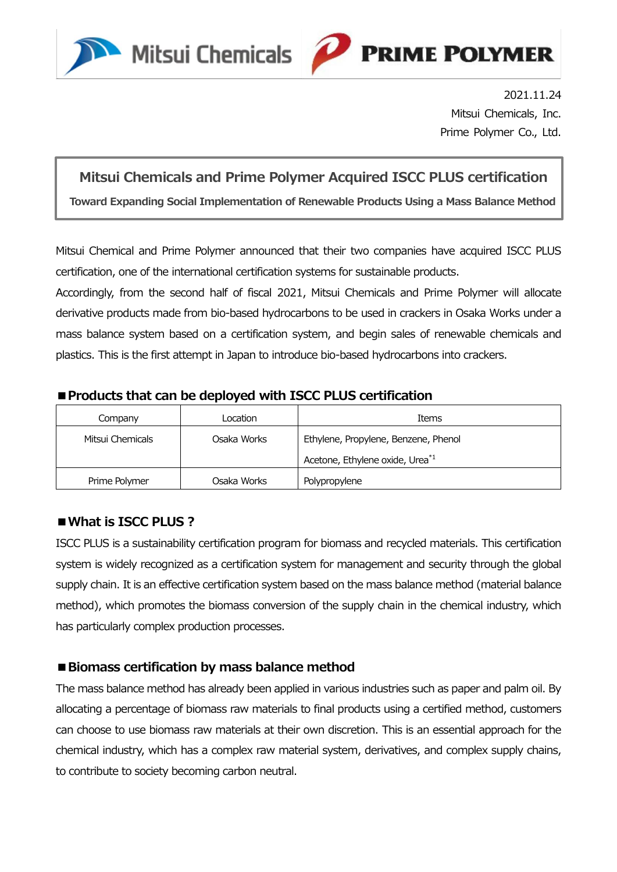



2021.11.24 Mitsui Chemicals, Inc. Prime Polymer Co., Ltd.

# **Mitsui Chemicals and Prime Polymer Acquired ISCC PLUS certification**

**Toward Expanding Social Implementation of Renewable Products Using a Mass Balance Method**

Mitsui Chemical and Prime Polymer announced that their two companies have acquired ISCC PLUS certification, one of the international certification systems for sustainable products.

Accordingly, from the second half of fiscal 2021, Mitsui Chemicals and Prime Polymer will allocate derivative products made from bio-based hydrocarbons to be used in crackers in Osaka Works under a mass balance system based on a certification system, and begin sales of renewable chemicals and plastics. This is the first attempt in Japan to introduce bio-based hydrocarbons into crackers.

### ■Products that can be deployed with ISCC PLUS certification

| Company          | _ocation    | Items                                       |
|------------------|-------------|---------------------------------------------|
| Mitsui Chemicals | Osaka Works | Ethylene, Propylene, Benzene, Phenol        |
|                  |             | Acetone, Ethylene oxide, Urea <sup>*1</sup> |
| Prime Polymer    | Osaka Works | Polypropylene                               |

### ■ What is **ISCC PLUS** ?

ISCC PLUS is a sustainability certification program for biomass and recycled materials. This certification system is widely recognized as a certification system for management and security through the global supply chain. It is an effective certification system based on the mass balance method (material balance method), which promotes the biomass conversion of the supply chain in the chemical industry, which has particularly complex production processes.

### ■ Biomass certification by mass balance method

The mass balance method has already been applied in various industries such as paper and palm oil. By allocating a percentage of biomass raw materials to final products using a certified method, customers can choose to use biomass raw materials at their own discretion. This is an essential approach for the chemical industry, which has a complex raw material system, derivatives, and complex supply chains, to contribute to society becoming carbon neutral.